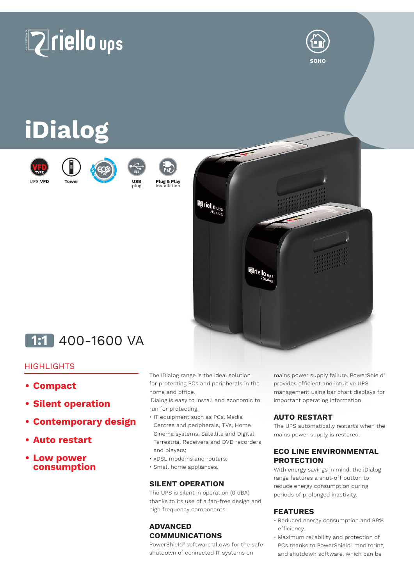# **Zriello** ups



## **iDialog**

**Tower**



UPS **VFD**







plug

**Plug & Play** installation



### **1:1** 400-1600 VA

#### **HIGHLIGHTS**

- **• Compact**
- **• Silent operation**
- **• Contemporary design**
- **• Auto restart**
- **• Low power consumption**

The iDialog range is the ideal solution for protecting PCs and peripherals in the home and office.

iDialog is easy to install and economic to run for protecting:

- IT equipment such as PCs, Media Centres and peripherals, TVs, Home Cinema systems, Satellite and Digital Terrestrial Receivers and DVD recorders and players;
- xDSL modems and routers;
- Small home appliances.

#### **SILENT OPERATION**

The UPS is silent in operation (0 dBA) thanks to its use of a fan-free design and high frequency components.

#### **ADVANCED COMMUNICATIONS**

PowerShield<sup>3</sup> software allows for the safe shutdown of connected IT systems on

mains power supply failure. PowerShield3 provides efficient and intuitive UPS management using bar chart displays for important operating information.

#### **AUTO RESTART**

The UPS automatically restarts when the mains power supply is restored.

#### **ECO LINE ENVIRONMENTAL PROTECTION**

With energy savings in mind, the iDialog range features a shut-off button to reduce energy consumption during periods of prolonged inactivity.

#### **FEATURES**

- Reduced energy consumption and 99% efficiency;
- Maximum reliability and protection of PCs thanks to PowerShield<sup>3</sup> monitoring and shutdown software, which can be